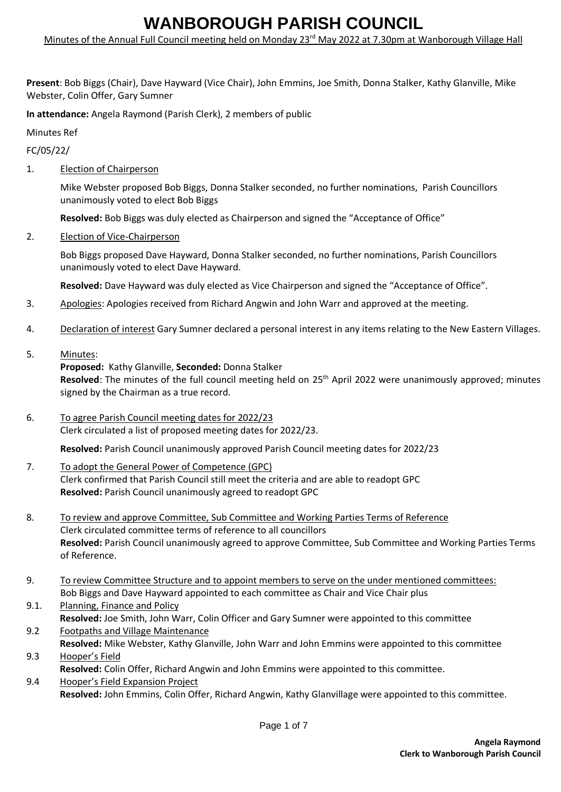Minutes of the Annual Full Council meeting held on Monday 23<sup>rd</sup> May 2022 at 7.30pm at Wanborough Village Hall

**Present**: Bob Biggs (Chair), Dave Hayward (Vice Chair), John Emmins, Joe Smith, Donna Stalker, Kathy Glanville, Mike Webster, Colin Offer, Gary Sumner

**In attendance:** Angela Raymond (Parish Clerk), 2 members of public

Minutes Ref

FC/05/22/

1. Election of Chairperson

Mike Webster proposed Bob Biggs, Donna Stalker seconded, no further nominations, Parish Councillors unanimously voted to elect Bob Biggs

**Resolved:** Bob Biggs was duly elected as Chairperson and signed the "Acceptance of Office"

2. Election of Vice-Chairperson

Bob Biggs proposed Dave Hayward, Donna Stalker seconded, no further nominations, Parish Councillors unanimously voted to elect Dave Hayward.

**Resolved:** Dave Hayward was duly elected as Vice Chairperson and signed the "Acceptance of Office".

- 3. Apologies: Apologies received from Richard Angwin and John Warr and approved at the meeting.
- 4. Declaration of interest Gary Sumner declared a personal interest in any items relating to the New Eastern Villages.
- 5. Minutes:

#### **Proposed:** Kathy Glanville, **Seconded:** Donna Stalker

Resolved: The minutes of the full council meeting held on 25<sup>th</sup> April 2022 were unanimously approved; minutes signed by the Chairman as a true record.

6. To agree Parish Council meeting dates for 2022/23 Clerk circulated a list of proposed meeting dates for 2022/23.

**Resolved:** Parish Council unanimously approved Parish Council meeting dates for 2022/23

- 7. To adopt the General Power of Competence (GPC) Clerk confirmed that Parish Council still meet the criteria and are able to readopt GPC **Resolved:** Parish Council unanimously agreed to readopt GPC
- 8. To review and approve Committee, Sub Committee and Working Parties Terms of Reference Clerk circulated committee terms of reference to all councillors **Resolved:** Parish Council unanimously agreed to approve Committee, Sub Committee and Working Parties Terms of Reference.
- 9. To review Committee Structure and to appoint members to serve on the under mentioned committees: Bob Biggs and Dave Hayward appointed to each committee as Chair and Vice Chair plus
- 9.1. Planning, Finance and Policy **Resolved:** Joe Smith, John Warr, Colin Officer and Gary Sumner were appointed to this committee
- 9.2 Footpaths and Village Maintenance **Resolved:** Mike Webster, Kathy Glanville, John Warr and John Emmins were appointed to this committee
- 9.3 Hooper's Field **Resolved:** Colin Offer, Richard Angwin and John Emmins were appointed to this committee.
- 9.4 Hooper's Field Expansion Project **Resolved:** John Emmins, Colin Offer, Richard Angwin, Kathy Glanvillage were appointed to this committee.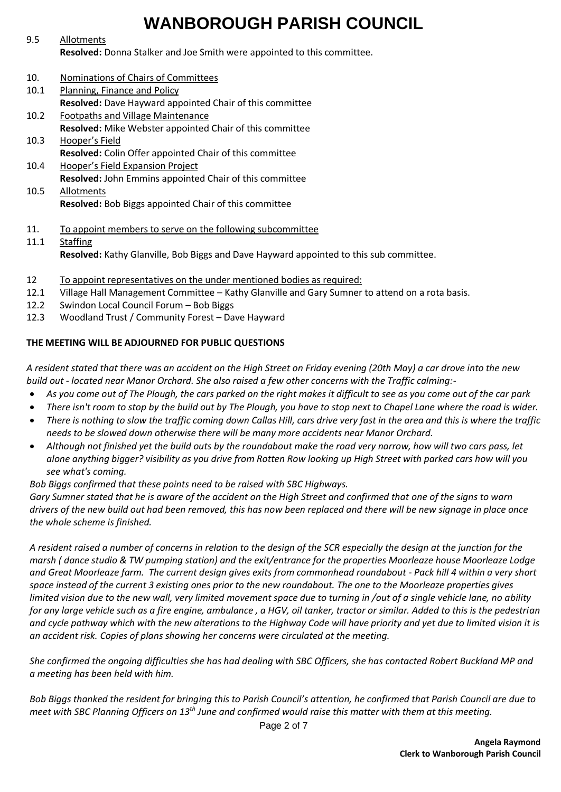### 9.5 Allotments **Resolved:** Donna Stalker and Joe Smith were appointed to this committee.

- 10. Nominations of Chairs of Committees
- 10.1 Planning, Finance and Policy **Resolved:** Dave Hayward appointed Chair of this committee
- 10.2 Footpaths and Village Maintenance **Resolved:** Mike Webster appointed Chair of this committee
- 10.3 Hooper's Field **Resolved:** Colin Offer appointed Chair of this committee
- 10.4 Hooper's Field Expansion Project **Resolved:** John Emmins appointed Chair of this committee 10.5 Allotments

**Resolved:** Bob Biggs appointed Chair of this committee

- 11. To appoint members to serve on the following subcommittee
- 11.1 Staffing **Resolved:** Kathy Glanville, Bob Biggs and Dave Hayward appointed to this sub committee.
- 12 To appoint representatives on the under mentioned bodies as required:
- 12.1 Village Hall Management Committee Kathy Glanville and Gary Sumner to attend on a rota basis.
- 12.2 Swindon Local Council Forum Bob Biggs
- 12.3 Woodland Trust / Community Forest Dave Hayward

### **THE MEETING WILL BE ADJOURNED FOR PUBLIC QUESTIONS**

*A resident stated that there was an accident on the High Street on Friday evening (20th May) a car drove into the new build out - located near Manor Orchard. She also raised a few other concerns with the Traffic calming:-*

- *As you come out of The Plough, the cars parked on the right makes it difficult to see as you come out of the car park*
- *There isn't room to stop by the build out by The Plough, you have to stop next to Chapel Lane where the road is wider.*
- *There is nothing to slow the traffic coming down Callas Hill, cars drive very fast in the area and this is where the traffic needs to be slowed down otherwise there will be many more accidents near Manor Orchard.*
- *Although not finished yet the build outs by the roundabout make the road very narrow, how will two cars pass, let alone anything bigger? visibility as you drive from Rotten Row looking up High Street with parked cars how will you see what's coming.*

*Bob Biggs confirmed that these points need to be raised with SBC Highways.*

*Gary Sumner stated that he is aware of the accident on the High Street and confirmed that one of the signs to warn drivers of the new build out had been removed, this has now been replaced and there will be new signage in place once the whole scheme is finished.*

*A resident raised a number of concerns in relation to the design of the SCR especially the design at the junction for the marsh ( dance studio & TW pumping station) and the exit/entrance for the properties Moorleaze house Moorleaze Lodge and Great Moorleaze farm. The current design gives exits from commonhead roundabout - Pack hill 4 within a very short space instead of the current 3 existing ones prior to the new roundabout. The one to the Moorleaze properties gives limited vision due to the new wall, very limited movement space due to turning in /out of a single vehicle lane, no ability for any large vehicle such as a fire engine, ambulance , a HGV, oil tanker, tractor or similar. Added to this is the pedestrian and cycle pathway which with the new alterations to the Highway Code will have priority and yet due to limited vision it is an accident risk. Copies of plans showing her concerns were circulated at the meeting.*

*She confirmed the ongoing difficulties she has had dealing with SBC Officers, she has contacted Robert Buckland MP and a meeting has been held with him.*

*Bob Biggs thanked the resident for bringing this to Parish Council's attention, he confirmed that Parish Council are due to meet with SBC Planning Officers on 13th June and confirmed would raise this matter with them at this meeting.*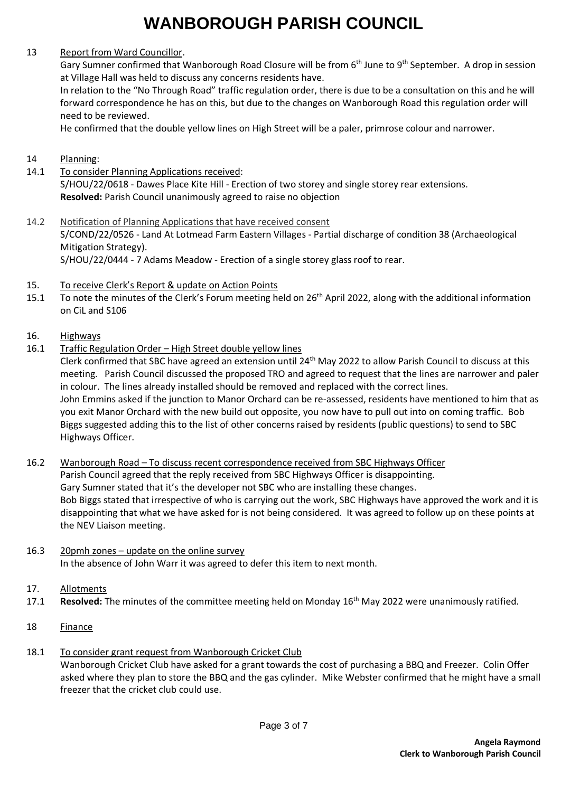### 13 Report from Ward Councillor.

Gary Sumner confirmed that Wanborough Road Closure will be from 6<sup>th</sup> June to 9<sup>th</sup> September. A drop in session at Village Hall was held to discuss any concerns residents have.

In relation to the "No Through Road" traffic regulation order, there is due to be a consultation on this and he will forward correspondence he has on this, but due to the changes on Wanborough Road this regulation order will need to be reviewed.

He confirmed that the double yellow lines on High Street will be a paler, primrose colour and narrower.

- 14 Planning:
- 14.1 To consider Planning Applications received: S/HOU/22/0618 - Dawes Place Kite Hill - Erection of two storey and single storey rear extensions. **Resolved:** Parish Council unanimously agreed to raise no objection
- 14.2 Notification of Planning Applications that have received consent S/COND/22/0526 - Land At Lotmead Farm Eastern Villages - Partial discharge of condition 38 (Archaeological Mitigation Strategy). S/HOU/22/0444 - 7 Adams Meadow - Erection of a single storey glass roof to rear.
- 15. To receive Clerk's Report & update on Action Points
- 15.1 To note the minutes of the Clerk's Forum meeting held on 26<sup>th</sup> April 2022, along with the additional information on CiL and S106
- 16. Highways
- 16.1 Traffic Regulation Order High Street double yellow lines
	- Clerk confirmed that SBC have agreed an extension until  $24^{th}$  May 2022 to allow Parish Council to discuss at this meeting. Parish Council discussed the proposed TRO and agreed to request that the lines are narrower and paler in colour. The lines already installed should be removed and replaced with the correct lines. John Emmins asked if the junction to Manor Orchard can be re-assessed, residents have mentioned to him that as you exit Manor Orchard with the new build out opposite, you now have to pull out into on coming traffic. Bob Biggs suggested adding this to the list of other concerns raised by residents (public questions) to send to SBC Highways Officer.
- 16.2 Wanborough Road To discuss recent correspondence received from SBC Highways Officer Parish Council agreed that the reply received from SBC Highways Officer is disappointing. Gary Sumner stated that it's the developer not SBC who are installing these changes. Bob Biggs stated that irrespective of who is carrying out the work, SBC Highways have approved the work and it is disappointing that what we have asked for is not being considered. It was agreed to follow up on these points at the NEV Liaison meeting.
- 16.3 20pmh zones update on the online survey In the absence of John Warr it was agreed to defer this item to next month.
- 17. Allotments
- 17.1 **Resolved:** The minutes of the committee meeting held on Monday 16th May 2022 were unanimously ratified.
- 18 Finance
- 18.1 To consider grant request from Wanborough Cricket Club Wanborough Cricket Club have asked for a grant towards the cost of purchasing a BBQ and Freezer. Colin Offer asked where they plan to store the BBQ and the gas cylinder. Mike Webster confirmed that he might have a small freezer that the cricket club could use.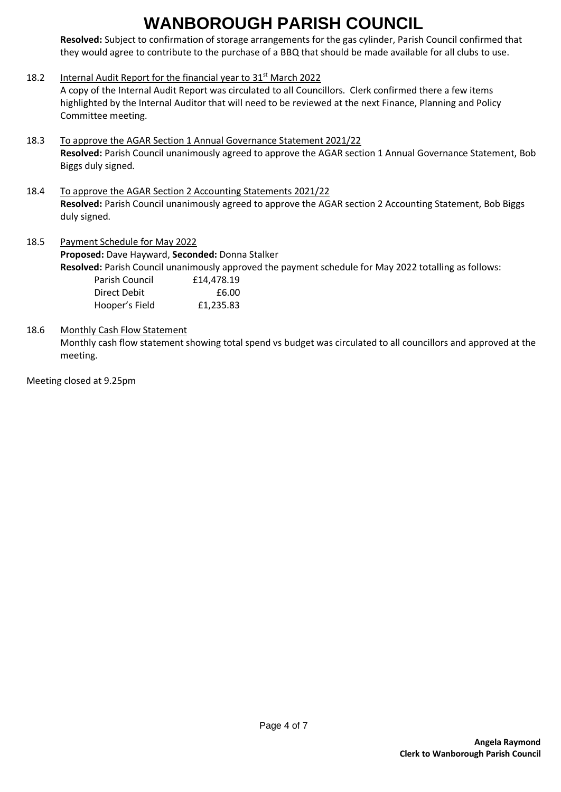**Resolved:** Subject to confirmation of storage arrangements for the gas cylinder, Parish Council confirmed that they would agree to contribute to the purchase of a BBQ that should be made available for all clubs to use.

- 18.2 Internal Audit Report for the financial year to 31<sup>st</sup> March 2022 A copy of the Internal Audit Report was circulated to all Councillors. Clerk confirmed there a few items highlighted by the Internal Auditor that will need to be reviewed at the next Finance, Planning and Policy Committee meeting.
- 18.3 To approve the AGAR Section 1 Annual Governance Statement 2021/22 **Resolved:** Parish Council unanimously agreed to approve the AGAR section 1 Annual Governance Statement, Bob Biggs duly signed.
- 18.4 To approve the AGAR Section 2 Accounting Statements 2021/22 **Resolved:** Parish Council unanimously agreed to approve the AGAR section 2 Accounting Statement, Bob Biggs duly signed.
- 18.5 Payment Schedule for May 2022 **Proposed:** Dave Hayward, **Seconded:** Donna Stalker **Resolved:** Parish Council unanimously approved the payment schedule for May 2022 totalling as follows:<br> **Resolved:** Cauncil 60:10 014 478 10 Parish Council £14,478.19

| Parish Council | L14,4/0.19 |
|----------------|------------|
| Direct Debit   | £6.00      |
| Hooper's Field | £1,235.83  |

### 18.6 Monthly Cash Flow Statement

Monthly cash flow statement showing total spend vs budget was circulated to all councillors and approved at the meeting.

Meeting closed at 9.25pm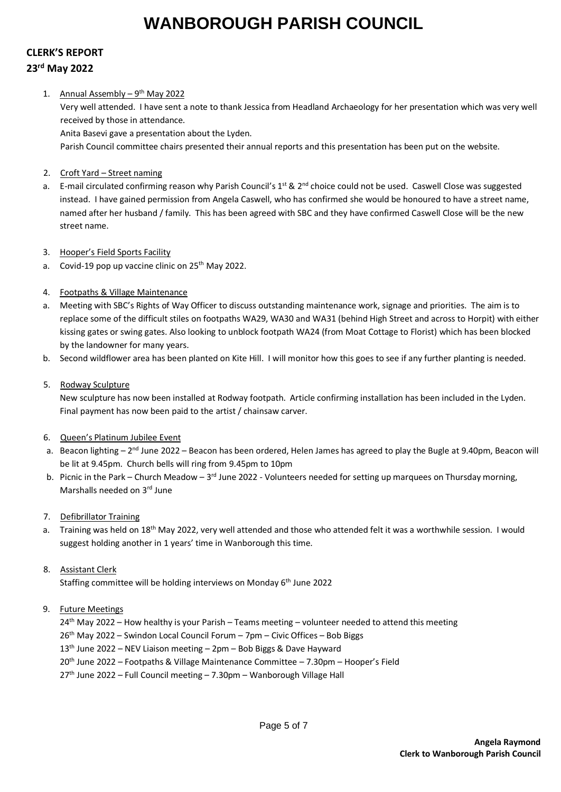### **CLERK'S REPORT 23 rd May 2022**

#### 1. Annual Assembly - 9<sup>th</sup> May 2022

Very well attended. I have sent a note to thank Jessica from Headland Archaeology for her presentation which was very well received by those in attendance.

Anita Basevi gave a presentation about the Lyden.

Parish Council committee chairs presented their annual reports and this presentation has been put on the website.

- 2. Croft Yard Street naming
- a. E-mail circulated confirming reason why Parish Council's 1<sup>st</sup> & 2<sup>nd</sup> choice could not be used. Caswell Close was suggested instead. I have gained permission from Angela Caswell, who has confirmed she would be honoured to have a street name, named after her husband / family. This has been agreed with SBC and they have confirmed Caswell Close will be the new street name.
- 3. Hooper's Field Sports Facility
- a. Covid-19 pop up vaccine clinic on 25<sup>th</sup> May 2022.
- 4. Footpaths & Village Maintenance
- a. Meeting with SBC's Rights of Way Officer to discuss outstanding maintenance work, signage and priorities. The aim is to replace some of the difficult stiles on footpaths WA29, WA30 and WA31 (behind High Street and across to Horpit) with either kissing gates or swing gates. Also looking to unblock footpath WA24 (from Moat Cottage to Florist) which has been blocked by the landowner for many years.
- b. Second wildflower area has been planted on Kite Hill. I will monitor how this goes to see if any further planting is needed.

#### 5. Rodway Sculpture

New sculpture has now been installed at Rodway footpath. Article confirming installation has been included in the Lyden. Final payment has now been paid to the artist / chainsaw carver.

- 6. Queen's Platinum Jubilee Event
- a. Beacon lighting 2<sup>nd</sup> June 2022 Beacon has been ordered, Helen James has agreed to play the Bugle at 9.40pm, Beacon will be lit at 9.45pm. Church bells will ring from 9.45pm to 10pm
- b. Picnic in the Park Church Meadow 3<sup>rd</sup> June 2022 Volunteers needed for setting up marquees on Thursday morning, Marshalls needed on 3rd June
- 7. Defibrillator Training
- a. Training was held on 18<sup>th</sup> May 2022, very well attended and those who attended felt it was a worthwhile session. I would suggest holding another in 1 years' time in Wanborough this time.
- 8. Assistant Clerk

Staffing committee will be holding interviews on Monday 6<sup>th</sup> June 2022

- 9. Future Meetings
	- $24<sup>th</sup>$  May 2022 How healthy is your Parish Teams meeting volunteer needed to attend this meeting
	- 26<sup>th</sup> May 2022 Swindon Local Council Forum 7pm Civic Offices Bob Biggs
	- $13<sup>th</sup>$  June 2022 NEV Liaison meeting 2pm Bob Biggs & Dave Hayward
	- 20th June 2022 Footpaths & Village Maintenance Committee 7.30pm Hooper's Field
	- $27<sup>th</sup>$  June 2022 Full Council meeting 7.30pm Wanborough Village Hall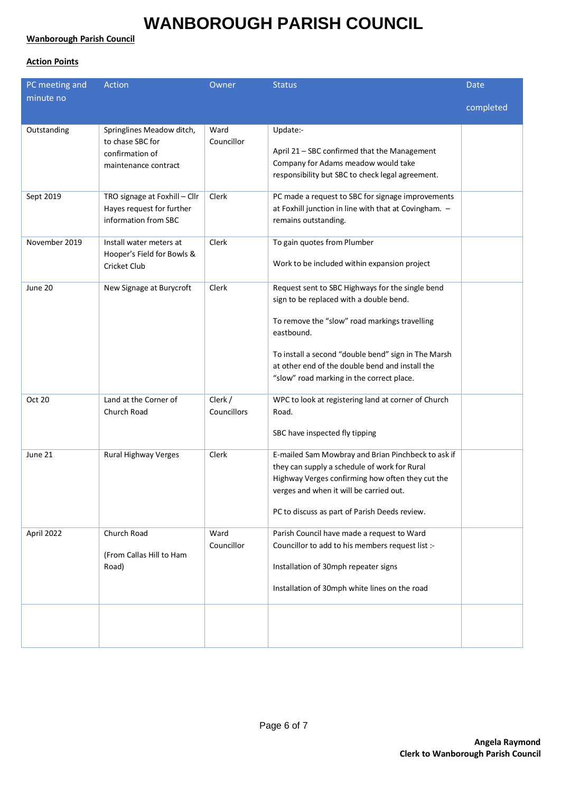### **Wanborough Parish Council**

### **Action Points**

| PC meeting and | Action                                                                                   | Owner                  | <b>Status</b>                                                                                                                                                                                                                                                                                                     | <b>Date</b> |
|----------------|------------------------------------------------------------------------------------------|------------------------|-------------------------------------------------------------------------------------------------------------------------------------------------------------------------------------------------------------------------------------------------------------------------------------------------------------------|-------------|
| minute no      |                                                                                          |                        |                                                                                                                                                                                                                                                                                                                   |             |
|                |                                                                                          |                        |                                                                                                                                                                                                                                                                                                                   | completed   |
| Outstanding    | Springlines Meadow ditch,<br>to chase SBC for<br>confirmation of<br>maintenance contract | Ward<br>Councillor     | Update:-<br>April 21 - SBC confirmed that the Management<br>Company for Adams meadow would take<br>responsibility but SBC to check legal agreement.                                                                                                                                                               |             |
| Sept 2019      | TRO signage at Foxhill - Cllr<br>Hayes request for further<br>information from SBC       | Clerk                  | PC made a request to SBC for signage improvements<br>at Foxhill junction in line with that at Covingham. -<br>remains outstanding.                                                                                                                                                                                |             |
| November 2019  | Install water meters at<br>Hooper's Field for Bowls &<br>Cricket Club                    | Clerk                  | To gain quotes from Plumber<br>Work to be included within expansion project                                                                                                                                                                                                                                       |             |
| June 20        | New Signage at Burycroft                                                                 | Clerk                  | Request sent to SBC Highways for the single bend<br>sign to be replaced with a double bend.<br>To remove the "slow" road markings travelling<br>eastbound.<br>To install a second "double bend" sign in The Marsh<br>at other end of the double bend and install the<br>"slow" road marking in the correct place. |             |
| Oct 20         | Land at the Corner of<br>Church Road                                                     | Clerk /<br>Councillors | WPC to look at registering land at corner of Church<br>Road.<br>SBC have inspected fly tipping                                                                                                                                                                                                                    |             |
| June 21        | <b>Rural Highway Verges</b>                                                              | Clerk                  | E-mailed Sam Mowbray and Brian Pinchbeck to ask if<br>they can supply a schedule of work for Rural<br>Highway Verges confirming how often they cut the<br>verges and when it will be carried out.<br>PC to discuss as part of Parish Deeds review.                                                                |             |
| April 2022     | Church Road<br>(From Callas Hill to Ham<br>Road)                                         | Ward<br>Councillor     | Parish Council have made a request to Ward<br>Councillor to add to his members request list :-<br>Installation of 30mph repeater signs<br>Installation of 30mph white lines on the road                                                                                                                           |             |
|                |                                                                                          |                        |                                                                                                                                                                                                                                                                                                                   |             |